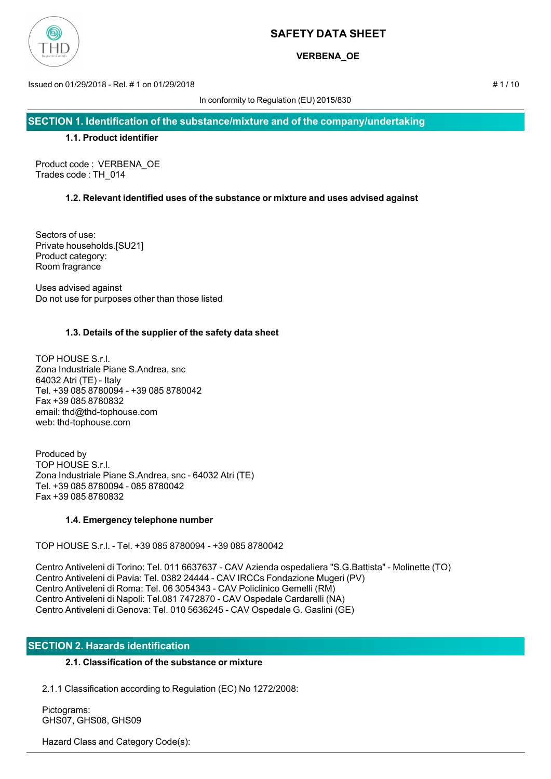

# **VERBENA\_OE**

Issued on 01/29/2018 - Rel. # 1 on 01/29/2018 # 1 / 10

In conformity to Regulation (EU) 2015/830

**SECTION 1. Identification of the substance/mixture and of the company/undertaking**

## **1.1. Product identifier**

Product code : VERBENA\_OE Trades code : TH\_014

## **1.2. Relevant identified uses of the substance or mixture and uses advised against**

Sectors of use: Private households.[SU21] Product category: Room fragrance

Uses advised against Do not use for purposes other than those listed

## **1.3. Details of the supplier of the safety data sheet**

TOP HOUSE S.r.l. Zona Industriale Piane S.Andrea, snc 64032 Atri (TE) - Italy Tel. +39 085 8780094 - +39 085 8780042 Fax +39 085 8780832 email: thd@thd-tophouse.com web: thd-tophouse.com

Produced by TOP HOUSE S.r.l. Zona Industriale Piane S.Andrea, snc - 64032 Atri (TE) Tel. +39 085 8780094 - 085 8780042 Fax +39 085 8780832

## **1.4. Emergency telephone number**

TOP HOUSE S.r.l. - Tel. +39 085 8780094 - +39 085 8780042

Centro Antiveleni di Torino: Tel. 011 6637637 - CAV Azienda ospedaliera "S.G.Battista" - Molinette (TO) Centro Antiveleni di Pavia: Tel. 0382 24444 - CAV IRCCs Fondazione Mugeri (PV) Centro Antiveleni di Roma: Tel. 06 3054343 - CAV Policlinico Gemelli (RM) Centro Antiveleni di Napoli: Tel.081 7472870 - CAV Ospedale Cardarelli (NA) Centro Antiveleni di Genova: Tel. 010 5636245 - CAV Ospedale G. Gaslini (GE)

## **SECTION 2. Hazards identification**

## **2.1. Classification of the substance or mixture**

2.1.1 Classification according to Regulation (EC) No 1272/2008:

 Pictograms: GHS07, GHS08, GHS09

Hazard Class and Category Code(s):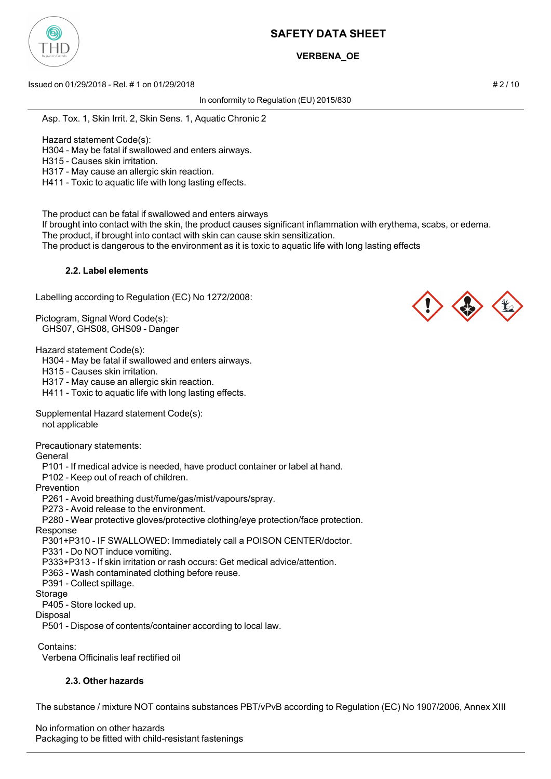

# **VERBENA\_OE**

Issued on 01/29/2018 - Rel. # 1 on 01/29/2018 # 2 / 10

In conformity to Regulation (EU) 2015/830

Asp. Tox. 1, Skin Irrit. 2, Skin Sens. 1, Aquatic Chronic 2

Hazard statement Code(s):

H304 - May be fatal if swallowed and enters airways.

H315 - Causes skin irritation.

H317 - May cause an allergic skin reaction.

H411 - Toxic to aquatic life with long lasting effects.

The product can be fatal if swallowed and enters airways

 If brought into contact with the skin, the product causes significant inflammation with erythema, scabs, or edema. The product, if brought into contact with skin can cause skin sensitization.

The product is dangerous to the environment as it is toxic to aquatic life with long lasting effects

### **2.2. Label elements**

Labelling according to Regulation (EC) No 1272/2008:

Pictogram, Signal Word Code(s): GHS07, GHS08, GHS09 - Danger

Hazard statement Code(s):

H304 - May be fatal if swallowed and enters airways.

H315 - Causes skin irritation.

H317 - May cause an allergic skin reaction.

H411 - Toxic to aquatic life with long lasting effects.

Supplemental Hazard statement Code(s):

not applicable

Precautionary statements:

General

P101 - If medical advice is needed, have product container or label at hand.

P102 - Keep out of reach of children.

Prevention

P261 - Avoid breathing dust/fume/gas/mist/vapours/spray.

P273 - Avoid release to the environment.

P280 - Wear protective gloves/protective clothing/eye protection/face protection.

#### Response

P301+P310 - IF SWALLOWED: Immediately call a POISON CENTER/doctor.

P331 - Do NOT induce vomiting.

P333+P313 - If skin irritation or rash occurs: Get medical advice/attention.

P363 - Wash contaminated clothing before reuse.

P391 - Collect spillage.

#### Storage

P405 - Store locked up.

Disposal

P501 - Dispose of contents/container according to local law.

Contains:

Verbena Officinalis leaf rectified oil

## **2.3. Other hazards**

The substance / mixture NOT contains substances PBT/vPvB according to Regulation (EC) No 1907/2006, Annex XIII

No information on other hazards Packaging to be fitted with child-resistant fastenings

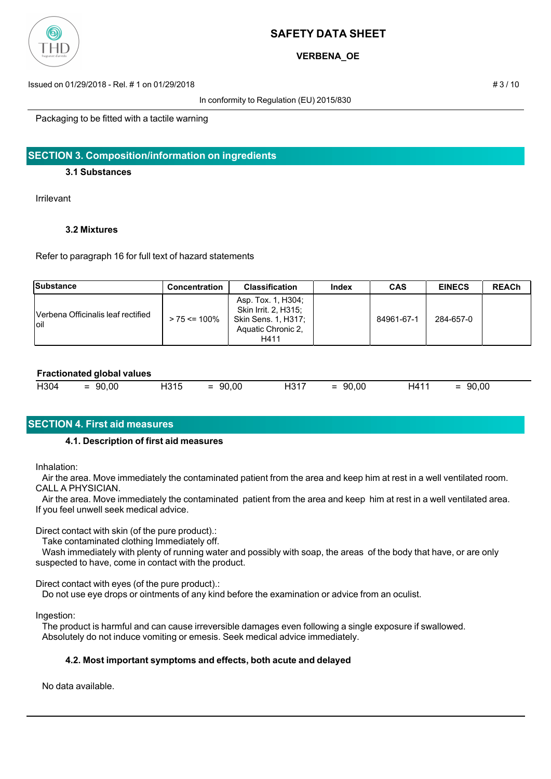

**VERBENA\_OE**

Issued on 01/29/2018 - Rel. # 1 on 01/29/2018 # 3 / 10

In conformity to Regulation (EU) 2015/830

Packaging to be fitted with a tactile warning

## **SECTION 3. Composition/information on ingredients**

## **3.1 Substances**

Irrilevant

## **3.2 Mixtures**

Refer to paragraph 16 for full text of hazard statements

| Substance                                  | Concentration    | <b>Classification</b>                                                                           | Index | <b>CAS</b> | <b>EINECS</b> | <b>REACh</b> |
|--------------------------------------------|------------------|-------------------------------------------------------------------------------------------------|-------|------------|---------------|--------------|
| Verbena Officinalis leaf rectified<br>loil | $> 75 \le 100\%$ | Asp. Tox. 1, H304;<br>Skin Irrit. 2, H315;<br>Skin Sens. 1, H317;<br>Aquatic Chronic 2.<br>H411 |       | 84961-67-1 | 284-657-0     |              |

### **Fractionated global values**

| H304<br>H315<br>90,00<br>$\overline{\phantom{a}}$<br>$\overline{\phantom{0}}$<br>-<br>- | H317<br>90,00<br>- | 90,00 | 1411ء | 90,00<br>$\overline{\phantom{a}}$<br>__<br>_ |
|-----------------------------------------------------------------------------------------|--------------------|-------|-------|----------------------------------------------|
|-----------------------------------------------------------------------------------------|--------------------|-------|-------|----------------------------------------------|

# **SECTION 4. First aid measures**

## **4.1. Description of first aid measures**

Inhalation:

 Air the area. Move immediately the contaminated patient from the area and keep him at rest in a well ventilated room. CALL A PHYSICIAN.

 Air the area. Move immediately the contaminated patient from the area and keep him at rest in a well ventilated area. If you feel unwell seek medical advice.

Direct contact with skin (of the pure product).:

Take contaminated clothing Immediately off.

 Wash immediately with plenty of running water and possibly with soap, the areas of the body that have, or are only suspected to have, come in contact with the product.

Direct contact with eyes (of the pure product).:

Do not use eye drops or ointments of any kind before the examination or advice from an oculist.

Ingestion:

 The product is harmful and can cause irreversible damages even following a single exposure if swallowed. Absolutely do not induce vomiting or emesis. Seek medical advice immediately.

## **4.2. Most important symptoms and effects, both acute and delayed**

No data available.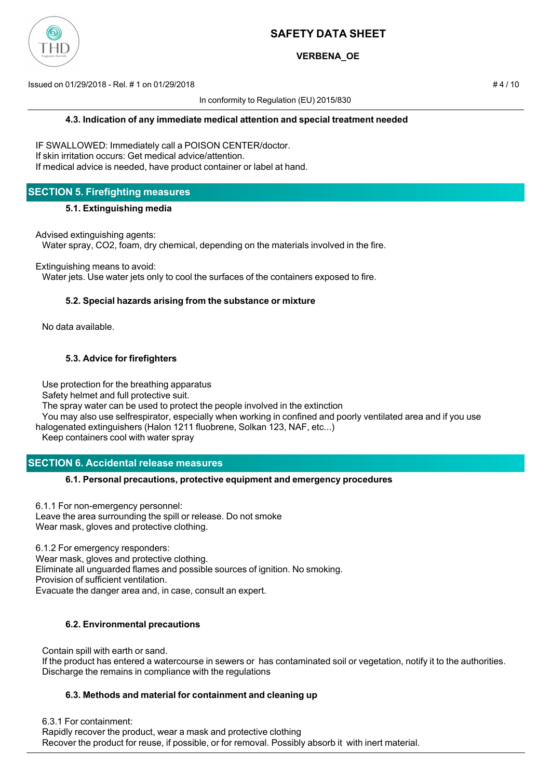

# **VERBENA\_OE**

Issued on 01/29/2018 - Rel. # 1 on 01/29/2018 # 4 / 10

In conformity to Regulation (EU) 2015/830

IF SWALLOWED: Immediately call a POISON CENTER/doctor. If skin irritation occurs: Get medical advice/attention. If medical advice is needed, have product container or label at hand.

# **SECTION 5. Firefighting measures**

### **5.1. Extinguishing media**

Advised extinguishing agents:

Water spray, CO2, foam, dry chemical, depending on the materials involved in the fire.

Extinguishing means to avoid:

Water jets. Use water jets only to cool the surfaces of the containers exposed to fire.

## **5.2. Special hazards arising from the substance or mixture**

No data available.

## **5.3. Advice for firefighters**

Use protection for the breathing apparatus

Safety helmet and full protective suit.

The spray water can be used to protect the people involved in the extinction

 You may also use selfrespirator, especially when working in confined and poorly ventilated area and if you use halogenated extinguishers (Halon 1211 fluobrene, Solkan 123, NAF, etc...)

Keep containers cool with water spray

# **SECTION 6. Accidental release measures**

## **6.1. Personal precautions, protective equipment and emergency procedures**

6.1.1 For non-emergency personnel: Leave the area surrounding the spill or release. Do not smoke Wear mask, gloves and protective clothing.

6.1.2 For emergency responders: Wear mask, gloves and protective clothing. Eliminate all unguarded flames and possible sources of ignition. No smoking. Provision of sufficient ventilation. Evacuate the danger area and, in case, consult an expert.

## **6.2. Environmental precautions**

 Contain spill with earth or sand. If the product has entered a watercourse in sewers or has contaminated soil or vegetation, notify it to the authorities. Discharge the remains in compliance with the regulations

## **6.3. Methods and material for containment and cleaning up**

6.3.1 For containment:

 Rapidly recover the product, wear a mask and protective clothing Recover the product for reuse, if possible, or for removal. Possibly absorb it with inert material.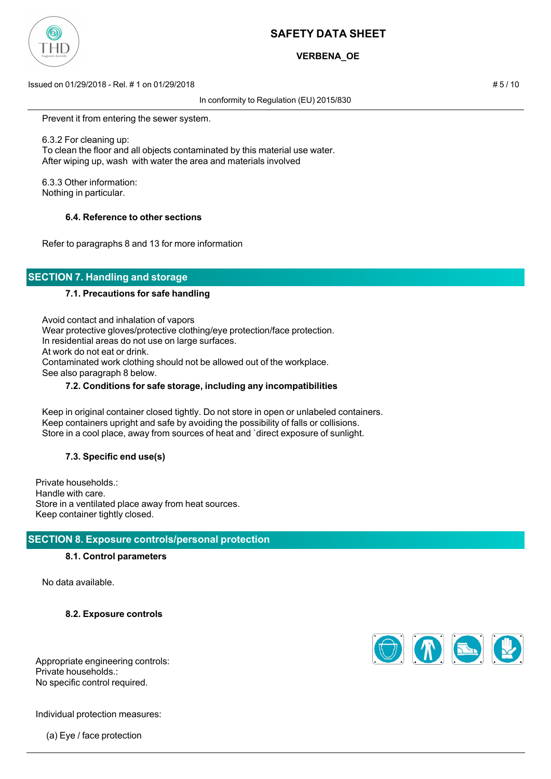

# **VERBENA\_OE**

Issued on 01/29/2018 - Rel. # 1 on 01/29/2018 # 5 / 10

In conformity to Regulation (EU) 2015/830

Prevent it from entering the sewer system.

 6.3.2 For cleaning up: To clean the floor and all objects contaminated by this material use water. After wiping up, wash with water the area and materials involved

 6.3.3 Other information: Nothing in particular.

### **6.4. Reference to other sections**

Refer to paragraphs 8 and 13 for more information

# **SECTION 7. Handling and storage**

### **7.1. Precautions for safe handling**

 Avoid contact and inhalation of vapors Wear protective gloves/protective clothing/eye protection/face protection. In residential areas do not use on large surfaces. At work do not eat or drink. Contaminated work clothing should not be allowed out of the workplace. See also paragraph 8 below.

### **7.2. Conditions for safe storage, including any incompatibilities**

 Keep in original container closed tightly. Do not store in open or unlabeled containers. Keep containers upright and safe by avoiding the possibility of falls or collisions. Store in a cool place, away from sources of heat and `direct exposure of sunlight.

## **7.3. Specific end use(s)**

Private households.: Handle with care. Store in a ventilated place away from heat sources. Keep container tightly closed.

## **SECTION 8. Exposure controls/personal protection**

#### **8.1. Control parameters**

No data available.

**8.2. Exposure controls**



Appropriate engineering controls: Private households.: No specific control required.

Individual protection measures:

(a) Eye / face protection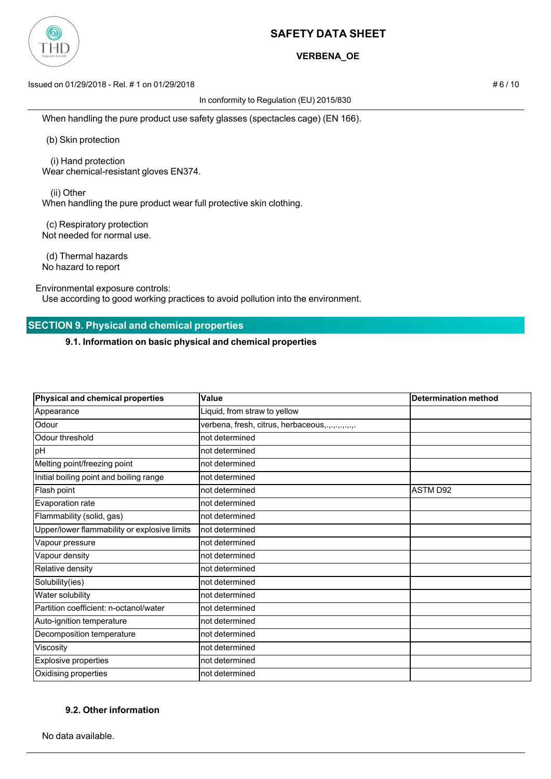

## **VERBENA\_OE**

Issued on 01/29/2018 - Rel. # 1 on 01/29/2018 # 6 / 10

In conformity to Regulation (EU) 2015/830

When handling the pure product use safety glasses (spectacles cage) (EN 166).

(b) Skin protection

 (i) Hand protection Wear chemical-resistant gloves EN374.

 (ii) Other When handling the pure product wear full protective skin clothing.

 (c) Respiratory protection Not needed for normal use.

 (d) Thermal hazards No hazard to report

Environmental exposure controls:

Use according to good working practices to avoid pollution into the environment.

# **SECTION 9. Physical and chemical properties**

**9.1. Information on basic physical and chemical properties**

| Physical and chemical properties             | Value                                           | <b>Determination method</b> |
|----------------------------------------------|-------------------------------------------------|-----------------------------|
| Appearance                                   | Liquid, from straw to yellow                    |                             |
| Odour                                        | verbena, fresh, citrus, herbaceous,.,,,,,,,,,,, |                             |
| Odour threshold                              | not determined                                  |                             |
| pH                                           | not determined                                  |                             |
| Melting point/freezing point                 | not determined                                  |                             |
| Initial boiling point and boiling range      | not determined                                  |                             |
| Flash point                                  | not determined                                  | ASTM D92                    |
| Evaporation rate                             | not determined                                  |                             |
| Flammability (solid, gas)                    | not determined                                  |                             |
| Upper/lower flammability or explosive limits | not determined                                  |                             |
| Vapour pressure                              | not determined                                  |                             |
| Vapour density                               | not determined                                  |                             |
| Relative density                             | not determined                                  |                             |
| Solubility(ies)                              | not determined                                  |                             |
| Water solubility                             | not determined                                  |                             |
| Partition coefficient: n-octanol/water       | not determined                                  |                             |
| Auto-ignition temperature                    | not determined                                  |                             |
| Decomposition temperature                    | not determined                                  |                             |
| Viscosity                                    | not determined                                  |                             |
| Explosive properties                         | not determined                                  |                             |
| Oxidising properties                         | not determined                                  |                             |

## **9.2. Other information**

No data available.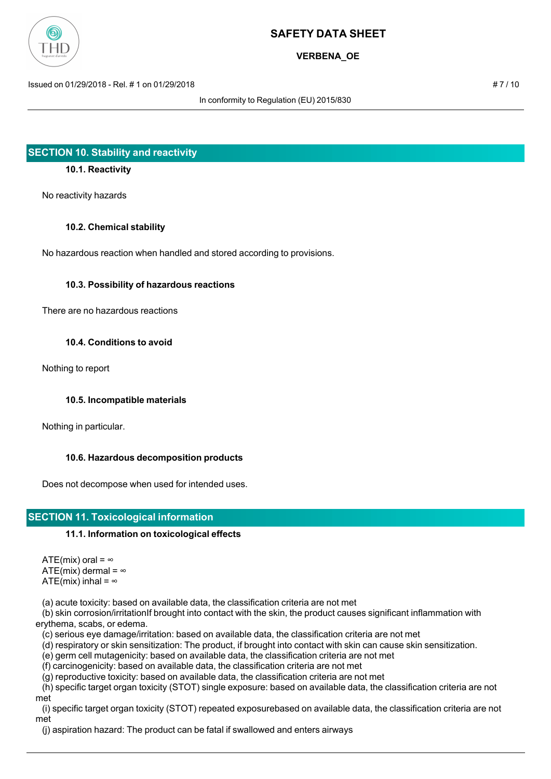

**VERBENA\_OE**

Issued on 01/29/2018 - Rel. # 1 on 01/29/2018 # 7 / 10

In conformity to Regulation (EU) 2015/830

# **SECTION 10. Stability and reactivity**

## **10.1. Reactivity**

No reactivity hazards

### **10.2. Chemical stability**

No hazardous reaction when handled and stored according to provisions.

### **10.3. Possibility of hazardous reactions**

There are no hazardous reactions

### **10.4. Conditions to avoid**

Nothing to report

## **10.5. Incompatible materials**

Nothing in particular.

## **10.6. Hazardous decomposition products**

Does not decompose when used for intended uses.

# **SECTION 11. Toxicological information**

## **11.1. Information on toxicological effects**

ATE(mix) oral =  $\infty$ ATE(mix) dermal =  $\infty$ ATE(mix) inhal =  $\infty$ 

(a) acute toxicity: based on available data, the classification criteria are not met

 (b) skin corrosion/irritationIf brought into contact with the skin, the product causes significant inflammation with erythema, scabs, or edema.

(c) serious eye damage/irritation: based on available data, the classification criteria are not met

(d) respiratory or skin sensitization: The product, if brought into contact with skin can cause skin sensitization.

(e) germ cell mutagenicity: based on available data, the classification criteria are not met

(f) carcinogenicity: based on available data, the classification criteria are not met

(g) reproductive toxicity: based on available data, the classification criteria are not met

 (h) specific target organ toxicity (STOT) single exposure: based on available data, the classification criteria are not met

 (i) specific target organ toxicity (STOT) repeated exposurebased on available data, the classification criteria are not met

(j) aspiration hazard: The product can be fatal if swallowed and enters airways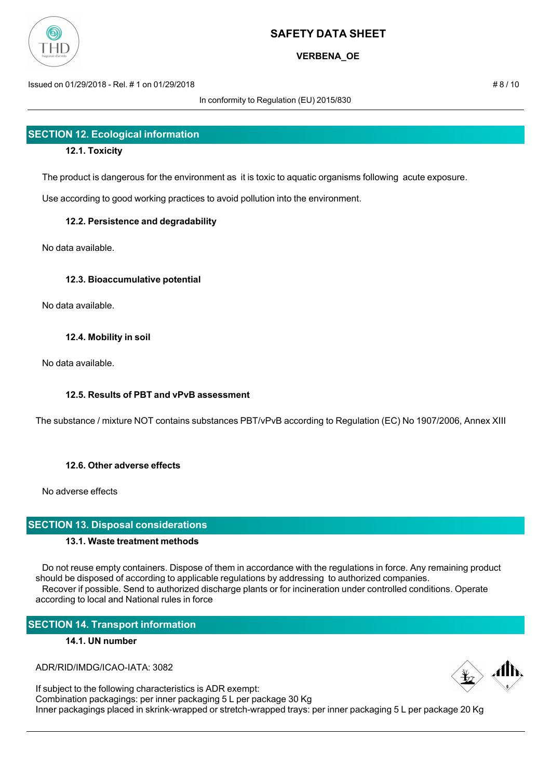

# **VERBENA\_OE**

Issued on 01/29/2018 - Rel. # 1 on 01/29/2018 # 8 / 10

In conformity to Regulation (EU) 2015/830

# **SECTION 12. Ecological information**

## **12.1. Toxicity**

The product is dangerous for the environment as it is toxic to aquatic organisms following acute exposure.

Use according to good working practices to avoid pollution into the environment.

## **12.2. Persistence and degradability**

No data available.

## **12.3. Bioaccumulative potential**

No data available.

## **12.4. Mobility in soil**

No data available.

## **12.5. Results of PBT and vPvB assessment**

The substance / mixture NOT contains substances PBT/vPvB according to Regulation (EC) No 1907/2006, Annex XIII

## **12.6. Other adverse effects**

No adverse effects

## **SECTION 13. Disposal considerations**

## **13.1. Waste treatment methods**

 Do not reuse empty containers. Dispose of them in accordance with the regulations in force. Any remaining product should be disposed of according to applicable regulations by addressing to authorized companies. Recover if possible. Send to authorized discharge plants or for incineration under controlled conditions. Operate according to local and National rules in force

# **SECTION 14. Transport information**

## **14.1. UN number**

ADR/RID/IMDG/ICAO-IATA: 3082

If subject to the following characteristics is ADR exempt: Combination packagings: per inner packaging 5 L per package 30 Kg Inner packagings placed in skrink-wrapped or stretch-wrapped trays: per inner packaging 5 L per package 20 Kg

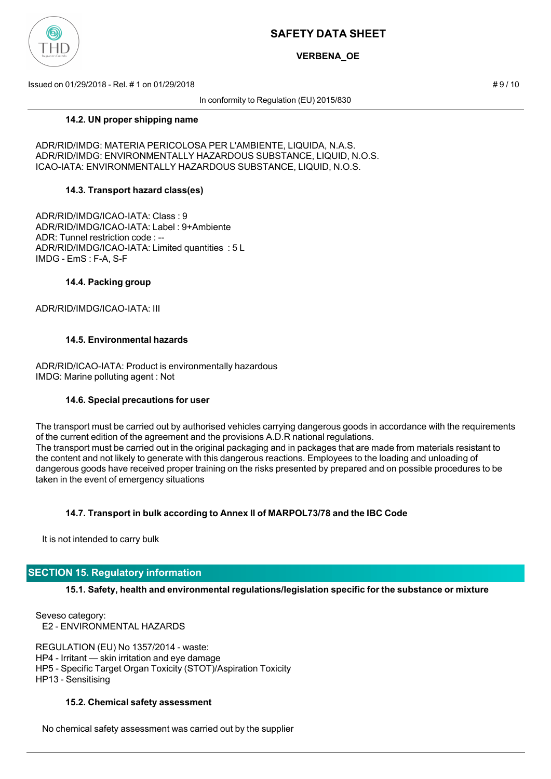

# **VERBENA\_OE**

Issued on 01/29/2018 - Rel. # 1 on 01/29/2018 # 9 / 10

In conformity to Regulation (EU) 2015/830

### **14.2. UN proper shipping name**

ADR/RID/IMDG: MATERIA PERICOLOSA PER L'AMBIENTE, LIQUIDA, N.A.S. ADR/RID/IMDG: ENVIRONMENTALLY HAZARDOUS SUBSTANCE, LIQUID, N.O.S. ICAO-IATA: ENVIRONMENTALLY HAZARDOUS SUBSTANCE, LIQUID, N.O.S.

## **14.3. Transport hazard class(es)**

ADR/RID/IMDG/ICAO-IATA: Class : 9 ADR/RID/IMDG/ICAO-IATA: Label : 9+Ambiente ADR: Tunnel restriction code : -- ADR/RID/IMDG/ICAO-IATA: Limited quantities : 5 L IMDG - EmS : F-A, S-F

### **14.4. Packing group**

ADR/RID/IMDG/ICAO-IATA: III

## **14.5. Environmental hazards**

ADR/RID/ICAO-IATA: Product is environmentally hazardous IMDG: Marine polluting agent : Not

#### **14.6. Special precautions for user**

The transport must be carried out by authorised vehicles carrying dangerous goods in accordance with the requirements of the current edition of the agreement and the provisions A.D.R national regulations. The transport must be carried out in the original packaging and in packages that are made from materials resistant to the content and not likely to generate with this dangerous reactions. Employees to the loading and unloading of dangerous goods have received proper training on the risks presented by prepared and on possible procedures to be taken in the event of emergency situations

## **14.7. Transport in bulk according to Annex II of MARPOL73/78 and the IBC Code**

It is not intended to carry bulk

## **SECTION 15. Regulatory information**

**15.1. Safety, health and environmental regulations/legislation specific for the substance or mixture**

Seveso category: E2 - ENVIRONMENTAL HAZARDS

REGULATION (EU) No 1357/2014 - waste: HP4 - Irritant — skin irritation and eye damage HP5 - Specific Target Organ Toxicity (STOT)/Aspiration Toxicity HP13 - Sensitising

#### **15.2. Chemical safety assessment**

No chemical safety assessment was carried out by the supplier